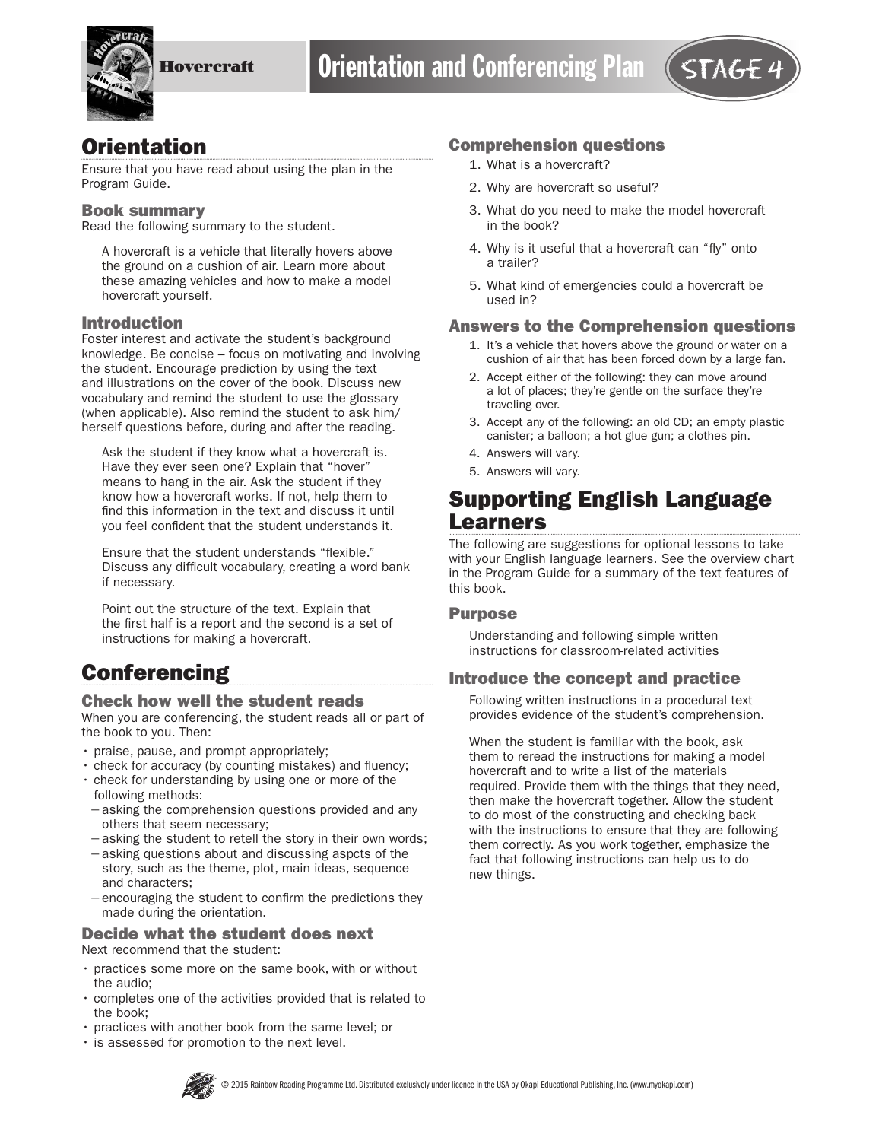

## **Orientation**

Ensure that you have read about using the plan in the Program Guide.

#### Book summary

Read the following summary to the student.

A hovercraft is a vehicle that literally hovers above the ground on a cushion of air. Learn more about these amazing vehicles and how to make a model hovercraft yourself.

### Introduction

Foster interest and activate the student's background knowledge. Be concise – focus on motivating and involving the student. Encourage prediction by using the text and illustrations on the cover of the book. Discuss new vocabulary and remind the student to use the glossary (when applicable). Also remind the student to ask him/ herself questions before, during and after the reading.

Ask the student if they know what a hovercraft is. Have they ever seen one? Explain that "hover" means to hang in the air. Ask the student if they know how a hovercraft works. If not, help them to find this information in the text and discuss it until you feel confident that the student understands it.

Ensure that the student understands "flexible." Discuss any difficult vocabulary, creating a word bank if necessary.

Point out the structure of the text. Explain that the first half is a report and the second is a set of instructions for making a hovercraft.

# **Conferencing**

### Check how well the student reads

When you are conferencing, the student reads all or part of the book to you. Then:

- praise, pause, and prompt appropriately;
- check for accuracy (by counting mistakes) and fluency;
- check for understanding by using one or more of the following methods:
- −asking the comprehension questions provided and any others that seem necessary;
- −asking the student to retell the story in their own words;
- −asking questions about and discussing aspcts of the story, such as the theme, plot, main ideas, sequence and characters;
- −encouraging the student to confirm the predictions they made during the orientation.

# Decide what the student does next

Next recommend that the student:

- practices some more on the same book, with or without the audio;
- completes one of the activities provided that is related to the book;
- practices with another book from the same level; or
- is assessed for promotion to the next level.

### Comprehension questions

- 1. What is a hovercraft?
- 2. Why are hovercraft so useful?
- 3. What do you need to make the model hovercraft in the book?
- 4. Why is it useful that a hovercraft can "fly" onto a trailer?
- 5. What kind of emergencies could a hovercraft be used in?

### Answers to the Comprehension questions

- 1. It's a vehicle that hovers above the ground or water on a cushion of air that has been forced down by a large fan.
- 2. Accept either of the following: they can move around a lot of places; they're gentle on the surface they're traveling over.
- 3. Accept any of the following: an old CD; an empty plastic canister; a balloon; a hot glue gun; a clothes pin.
- 4. Answers will vary.
- 5. Answers will vary.

## Supporting English Language Learners

The following are suggestions for optional lessons to take with your English language learners. See the overview chart in the Program Guide for a summary of the text features of this book.

#### Purpose

Understanding and following simple written instructions for classroom-related activities

## Introduce the concept and practice

Following written instructions in a procedural text provides evidence of the student's comprehension.

When the student is familiar with the book, ask them to reread the instructions for making a model hovercraft and to write a list of the materials required. Provide them with the things that they need, then make the hovercraft together. Allow the student to do most of the constructing and checking back with the instructions to ensure that they are following them correctly. As you work together, emphasize the fact that following instructions can help us to do new things.

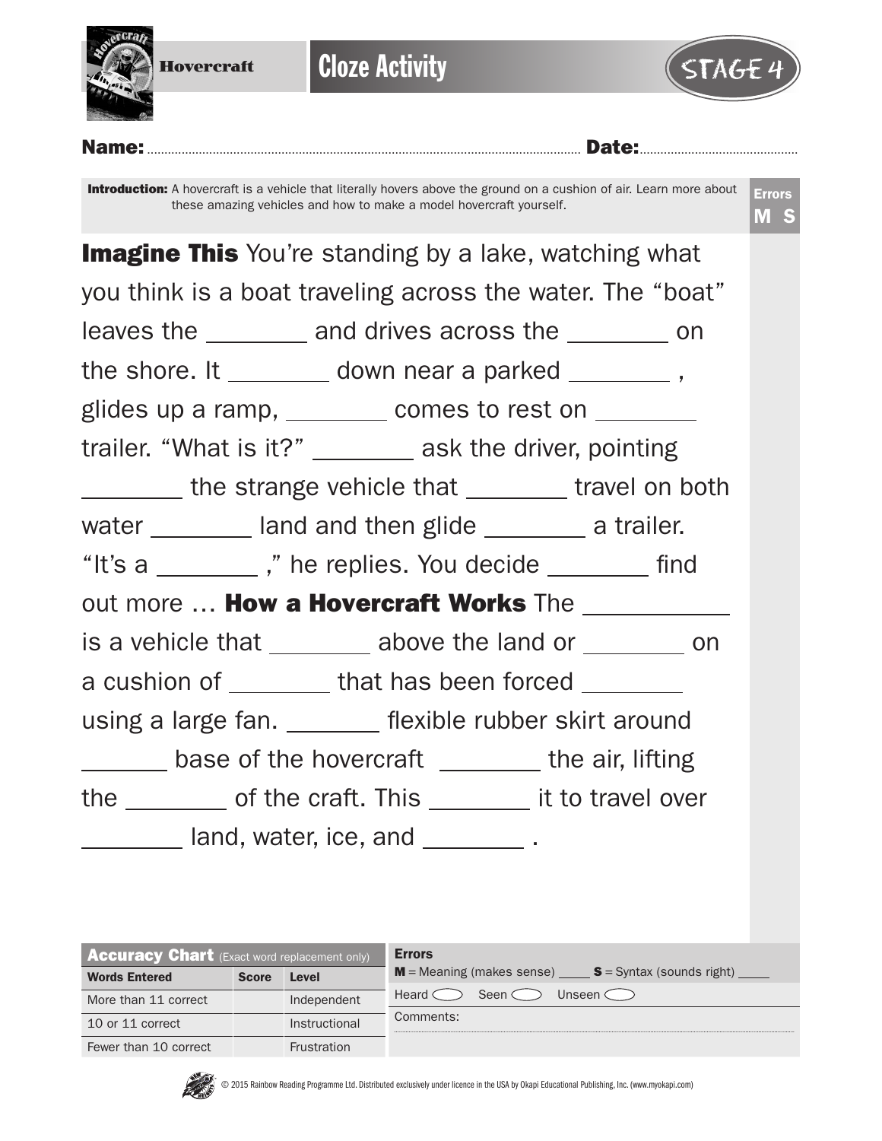

| <b>Accuracy Chart</b> (Exact word replacement only) |              |               | <b>Errors</b>                                           |
|-----------------------------------------------------|--------------|---------------|---------------------------------------------------------|
| <b>Words Entered</b>                                | <b>Score</b> | Level         | $M$ = Meaning (makes sense) $S$ = Syntax (sounds right) |
| More than 11 correct                                |              | Independent   | Heard $\subset$<br>Seen <<br>Unseen C                   |
| 10 or 11 correct                                    |              | Instructional | Comments:                                               |
| Fewer than 10 correct                               |              | Frustration   |                                                         |



© 2015 Rainbow Reading Programme Ltd. Distributed exclusively under licence in the USA by Okapi Educational Publishing, Inc. (www.myokapi.com)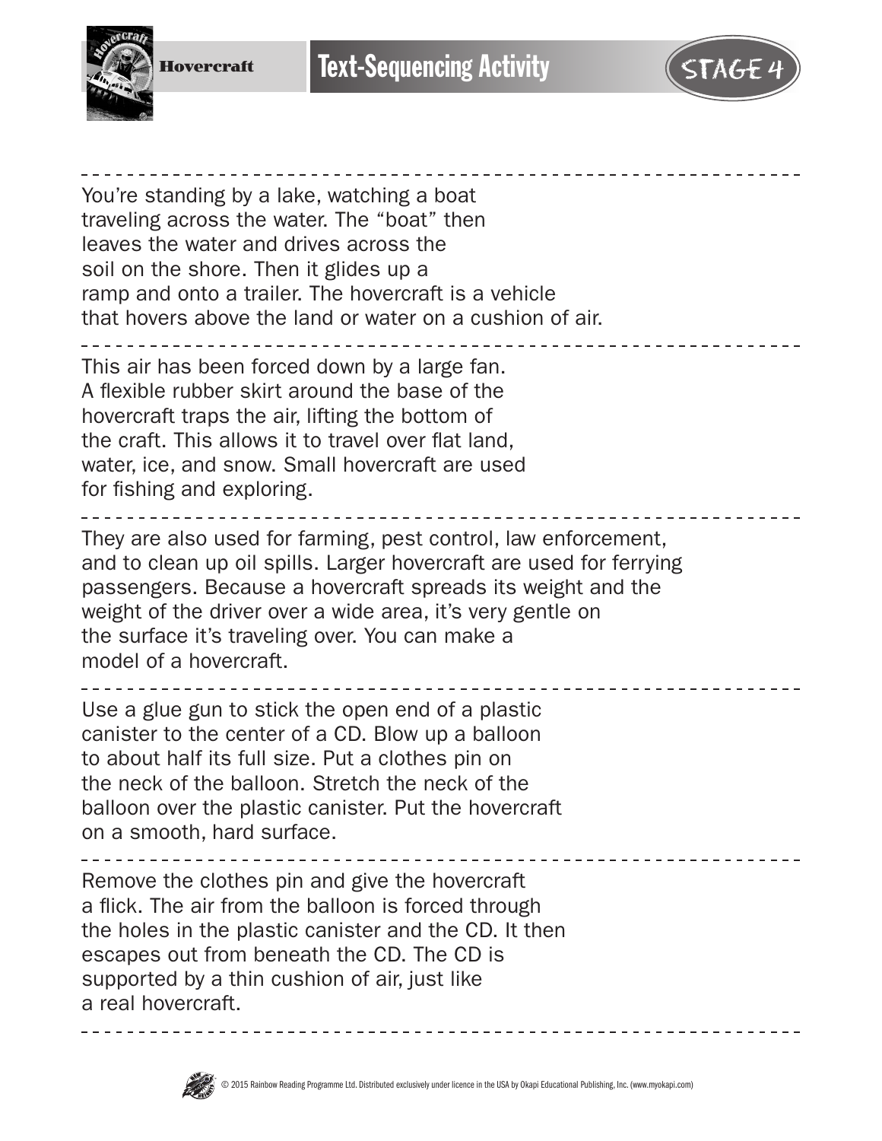

Hovercraft

You're standing by a lake, watching a boat traveling across the water. The "boat" then leaves the water and drives across the soil on the shore. Then it glides up a ramp and onto a trailer. The hovercraft is a vehicle that hovers above the land or water on a cushion of air.

This air has been forced down by a large fan. A flexible rubber skirt around the base of the hovercraft traps the air, lifting the bottom of the craft. This allows it to travel over flat land, water, ice, and snow. Small hovercraft are used for fishing and exploring.

They are also used for farming, pest control, law enforcement, and to clean up oil spills. Larger hovercraft are used for ferrying passengers. Because a hovercraft spreads its weight and the weight of the driver over a wide area, it's very gentle on the surface it's traveling over. You can make a model of a hovercraft.

Use a glue gun to stick the open end of a plastic canister to the center of a CD. Blow up a balloon to about half its full size. Put a clothes pin on the neck of the balloon. Stretch the neck of the balloon over the plastic canister. Put the hovercraft on a smooth, hard surface.

Remove the clothes pin and give the hovercraft a flick. The air from the balloon is forced through the holes in the plastic canister and the CD. It then escapes out from beneath the CD. The CD is supported by a thin cushion of air, just like a real hovercraft.

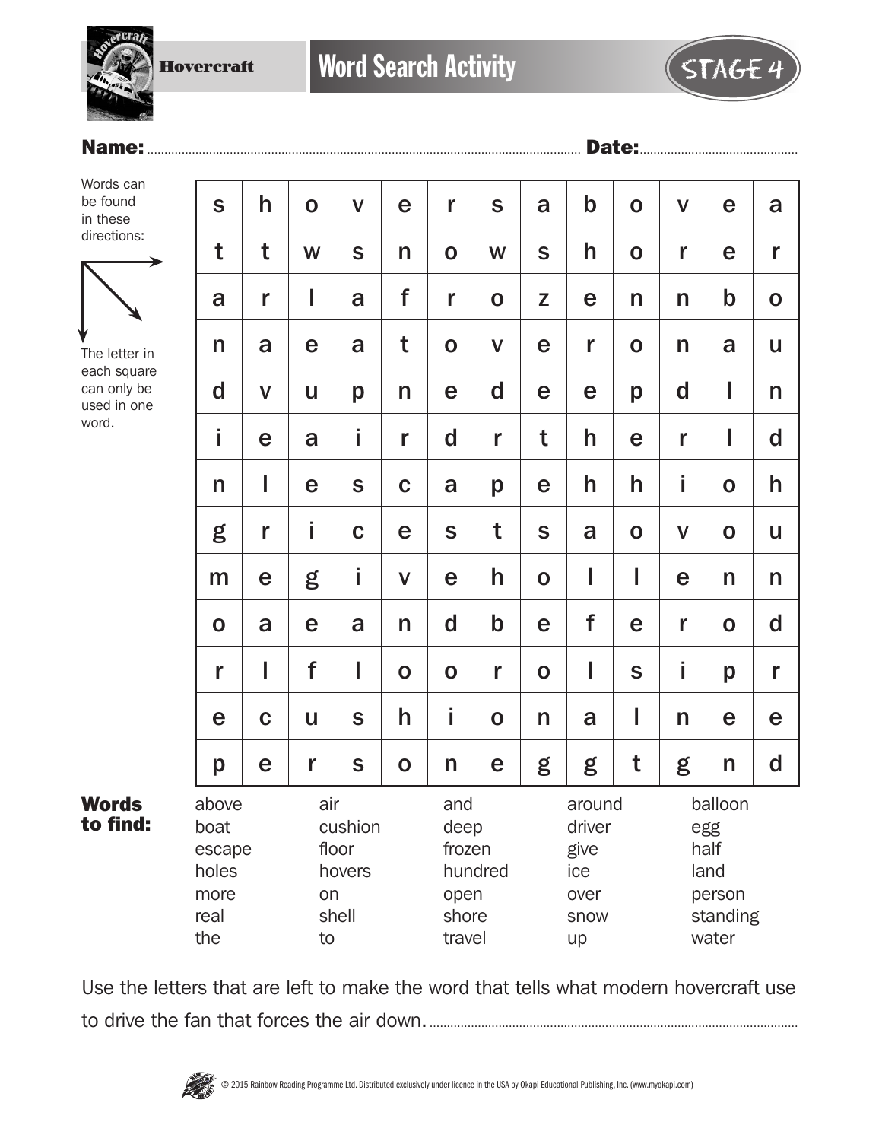Hovercraft

Name:.............................................................................................................................. Date:..............................................

| 1 I I<br>- |
|------------|
|------------|

Words can be found in these directions:



The letter in each square can only be used in one word.

Words to find:

| h                                                                                                                 | $\mathbf 0$ | $\mathbf V$ | e           | r           | S                                                     | a                                          | $\mathbf b$  | $\mathbf 0$                                                   | $\mathsf{V}$ | e           | a            |
|-------------------------------------------------------------------------------------------------------------------|-------------|-------------|-------------|-------------|-------------------------------------------------------|--------------------------------------------|--------------|---------------------------------------------------------------|--------------|-------------|--------------|
| t                                                                                                                 | W           | S           | n           | $\mathbf 0$ | W                                                     | $\mathbf S$                                | h            | $\mathbf 0$                                                   | r            | e           | r            |
| r                                                                                                                 | I           | a           | f           | r           | $\mathbf O$                                           | Z                                          | e            | n                                                             | n            | $\mathsf b$ | $\mathbf O$  |
| a                                                                                                                 | e           | a           | t           | $\mathbf O$ | $\mathbf V$                                           | e                                          | $\mathbf{r}$ | $\mathbf 0$                                                   | n            | a           | U            |
| $\mathsf{V}$                                                                                                      | U           | p           | n           | e           | $\mathbf d$                                           | e                                          | e            | p                                                             | $\mathbf d$  | I           | n            |
| e                                                                                                                 | a           | i           | r           | $\mathbf d$ | r                                                     | t                                          | h            | e                                                             | r            | I           | $\mathbf d$  |
| I                                                                                                                 | e           | S           | $\mathbf C$ | a           | p                                                     | e                                          | h            | h                                                             | İ            | $\mathbf O$ | h            |
| r                                                                                                                 | İ.          | $\mathbf C$ | e           | $\mathbf S$ | t                                                     | S                                          | a            | $\mathbf 0$                                                   | $\mathsf{V}$ | $\mathbf 0$ | U            |
| e                                                                                                                 | g           | İ           | $\mathbf V$ | e           | h                                                     | $\mathbf O$                                | I            | I                                                             | e            | n           | n            |
| a                                                                                                                 | e           | a           | n           | $\mathbf d$ | $\mathsf b$                                           | e                                          | f            | e                                                             | r            | $\mathbf 0$ | $\mathsf{d}$ |
| I                                                                                                                 | f           | I           | $\mathbf O$ | $\mathbf 0$ | r                                                     | $\mathbf 0$                                | I            | S                                                             | İ            | p           | r            |
| $\mathbf C$                                                                                                       | U           | S           | h           | İ           | $\mathbf 0$                                           | n                                          | a            | I                                                             | n            | e           | e            |
| e                                                                                                                 | r           | S           | $\mathbf 0$ | n           | e                                                     | g                                          | g            | t                                                             | g            | n           | $\mathsf{d}$ |
| above<br>air<br>boat<br>cushion<br>floor<br>escape<br>holes<br>hovers<br>more<br>on<br>shell<br>real<br>the<br>to |             |             | and         |             | around<br>driver<br>give<br>ice<br>over<br>snow<br>up |                                            |              | balloon<br>egg<br>half<br>land<br>person<br>standing<br>water |              |             |              |
|                                                                                                                   |             |             |             |             |                                                       | deep<br>frozen<br>hundred<br>open<br>shore |              |                                                               | travel       |             |              |

Use the letters that are left to make the word that tells what modern hovercraft use to drive the fan that forces the air down............................................................................................................

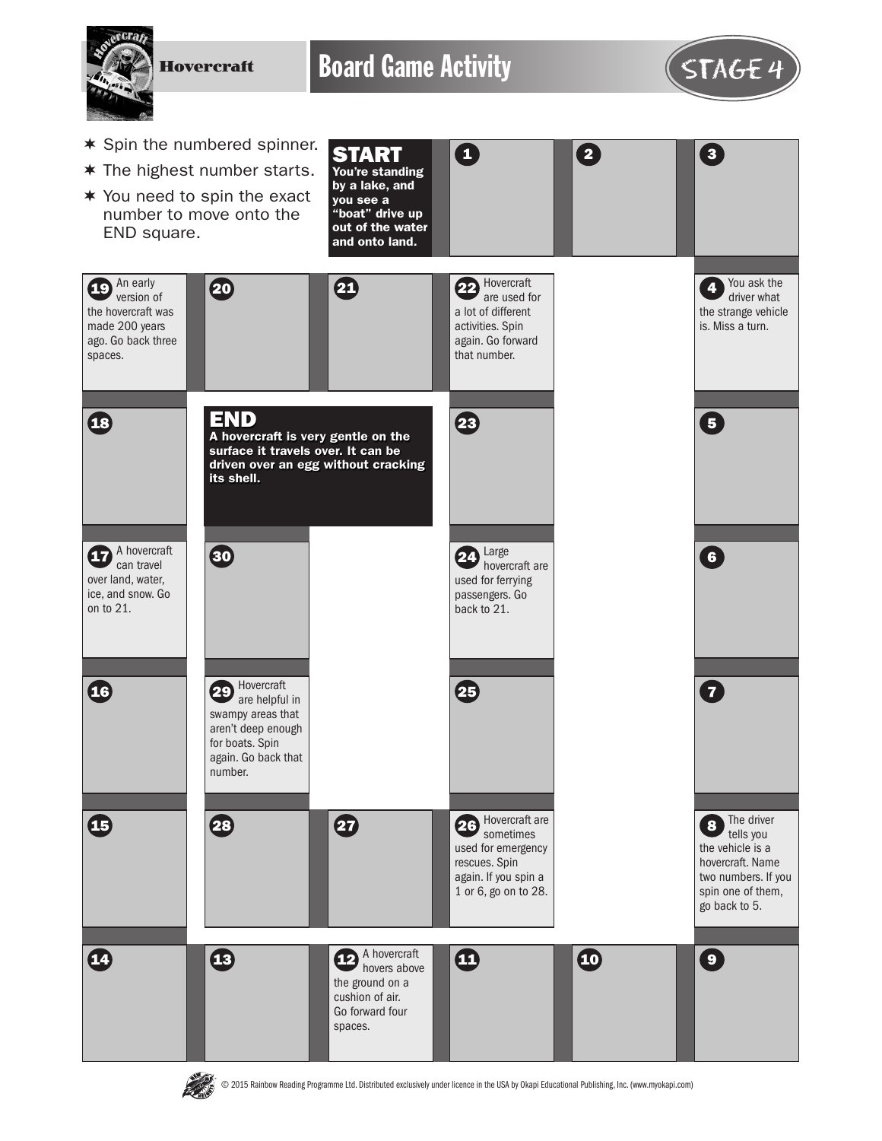Hovercraft

Board Game Activity **STAGE 4** 

 $\mathbf \Omega$ 



An early  $\overline{19}$  An early  $\overline{19}$  (20

the hovercraft was made 200 years ago. Go back three

spaces.

18

15

**16** 

A hovercraft  $\boldsymbol{\mathcal{D}}$  can travel over land, water, ice, and snow. Go on to 21.



- \* Spin the numbered spinner.
- $*$  The highest number starts.
- $*$  You need to spin the exact number to move onto the END square.

You're standing by a lake, and you see a "boat" drive up out of the water

START



used for ferrying passengers. Go back to 21.

25

Hovercraft are **26** Sometimes used for emergency rescues. Spin again. If you spin a 1 or 6, go on to 28.





Hovercraft are helpful in swampy areas that aren't deep enough for boats. Spin again. Go back that

28 27

number.

30

END

its shell.

© 2015 Rainbow Reading Programme Ltd. Distributed exclusively under licence in the USA by Okapi Educational Publishing, Inc. (www.myokapi.com)

A hovercraft

the ground on a cushion of air. Go forward four spaces.